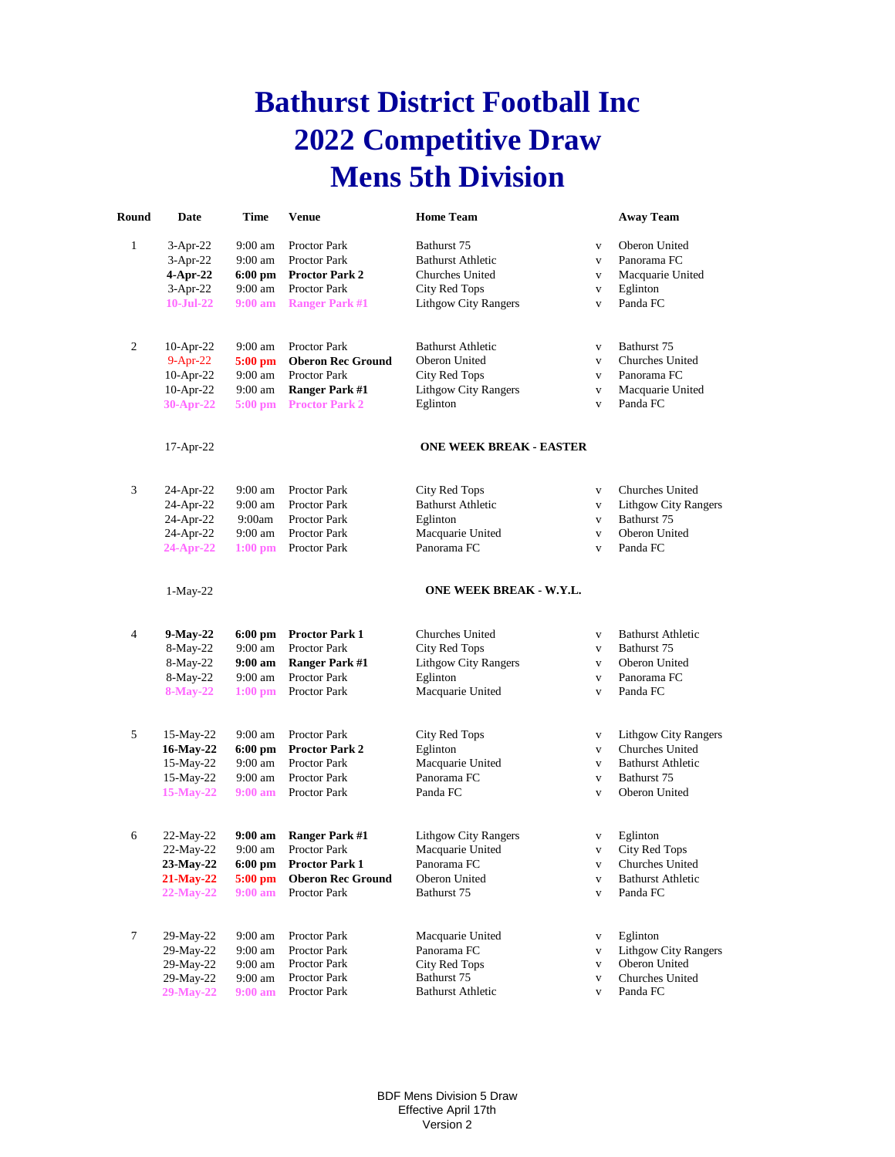## **Bathurst District Football Inc 2022 Competitive Draw Mens 5th Division**

| Round        | Date         | <b>Time</b>        | <b>Venue</b>             | <b>Home Team</b>               |              | <b>Away Team</b>            |
|--------------|--------------|--------------------|--------------------------|--------------------------------|--------------|-----------------------------|
| $\mathbf{1}$ | $3-Apr-22$   | $9:00$ am          | Proctor Park             | Bathurst 75                    | $\mathbf{V}$ | Oberon United               |
|              | $3-Apr-22$   | $9:00$ am          | <b>Proctor Park</b>      | <b>Bathurst Athletic</b>       | $\mathbf{V}$ | Panorama FC                 |
|              | 4-Apr-22     | $6:00$ pm          | <b>Proctor Park 2</b>    | Churches United                | $\mathbf{V}$ | Macquarie United            |
|              | 3-Apr-22     | 9:00 am            | Proctor Park             | City Red Tops                  | $\mathbf{V}$ | Eglinton                    |
|              | 10-Jul-22    | 9:00 a m           | <b>Ranger Park #1</b>    | <b>Lithgow City Rangers</b>    | $\mathbf{V}$ | Panda FC                    |
|              |              |                    |                          |                                |              |                             |
| 2            | 10-Apr-22    | $9:00$ am          | Proctor Park             | <b>Bathurst Athletic</b>       | $\mathbf{V}$ | Bathurst 75                 |
|              | $9-Apr-22$   | 5:00 pm            | <b>Oberon Rec Ground</b> | Oberon United                  | $\mathbf{V}$ | Churches United             |
|              | 10-Apr-22    | $9:00$ am          | Proctor Park             | City Red Tops                  | $\mathbf{V}$ | Panorama FC                 |
|              | $10$ -Apr-22 | $9:00$ am          | <b>Ranger Park #1</b>    | <b>Lithgow City Rangers</b>    | $\mathbf{V}$ | Macquarie United            |
|              | 30-Apr-22    | 5:00 pm            | <b>Proctor Park 2</b>    | Eglinton                       | $\mathbf{V}$ | Panda FC                    |
|              | 17-Apr-22    |                    |                          | <b>ONE WEEK BREAK - EASTER</b> |              |                             |
|              |              |                    |                          |                                |              |                             |
| 3            | 24-Apr-22    | $9:00$ am          | Proctor Park             | City Red Tops                  | $\mathbf{V}$ | Churches United             |
|              | 24-Apr-22    | $9:00$ am          | Proctor Park             | <b>Bathurst Athletic</b>       | $\mathbf{V}$ | Lithgow City Rangers        |
|              | 24-Apr-22    | 9:00am             | Proctor Park             | Eglinton                       | $\mathbf{V}$ | Bathurst 75                 |
|              | 24-Apr-22    | $9:00$ am          | Proctor Park             | Macquarie United               | $\mathbf{V}$ | Oberon United               |
|              | $24-Apr-22$  | $1:00$ pm          | Proctor Park             | Panorama FC                    | $\mathbf{V}$ | Panda FC                    |
|              | $1-May-22$   |                    |                          | ONE WEEK BREAK - W.Y.L.        |              |                             |
| 4            | 9-May-22     | $6:00$ pm          | <b>Proctor Park 1</b>    | <b>Churches United</b>         | $\mathbf{V}$ | <b>Bathurst Athletic</b>    |
|              | 8-May-22     | $9:00$ am          | Proctor Park             | City Red Tops                  | $\mathbf{V}$ | Bathurst 75                 |
|              | 8-May-22     | 9:00 am            | <b>Ranger Park #1</b>    | <b>Lithgow City Rangers</b>    | $\mathbf{V}$ | Oberon United               |
|              | 8-May-22     | 9:00 am            | Proctor Park             | Eglinton                       | $\mathbf{V}$ | Panorama FC                 |
|              | $8$ -May-22  | $1:00$ pm          | Proctor Park             | Macquarie United               | $\mathbf{V}$ | Panda FC                    |
|              |              |                    |                          |                                |              |                             |
| 5            | 15-May-22    | $9:00$ am          | Proctor Park             | City Red Tops                  | $\mathbf{V}$ | <b>Lithgow City Rangers</b> |
|              | 16-May-22    | $6:00$ pm          | <b>Proctor Park 2</b>    | Eglinton                       | $\mathbf{V}$ | Churches United             |
|              | 15-May-22    | $9:00$ am          | Proctor Park             | Macquarie United               | $\mathbf{V}$ | <b>Bathurst Athletic</b>    |
|              | 15-May-22    | $9:00 \text{ am}$  | <b>Proctor Park</b>      | Panorama FC                    | $\mathbf{V}$ | Bathurst 75                 |
|              | 15-May-22    | $9:00 a$ m         | Proctor Park             | Panda FC                       | $\mathbf{V}$ | Oberon United               |
| 6            | 22-May-22    | $9:00 \text{ am}$  | <b>Ranger Park #1</b>    | <b>Lithgow City Rangers</b>    | $\mathbf{V}$ | Eglinton                    |
|              | 22-May-22    | $9:00$ am          | Proctor Park             | Macquarie United               | $\mathbf{V}$ | City Red Tops               |
|              | 23-May-22    |                    | <b>Proctor Park 1</b>    | Panorama FC                    |              | Churches United             |
|              |              | $6:00~\mathrm{pm}$ | <b>Oberon Rec Ground</b> |                                | V            |                             |
|              | 21-May-22    | $5:00 \text{ pm}$  |                          | Oberon United                  | $\mathbf V$  | <b>Bathurst Athletic</b>    |
|              | $22-May-22$  | $9:00 \text{ am}$  | Proctor Park             | Bathurst 75                    | V            | Panda FC                    |
| 7            | 29-May-22    | $9:00$ am          | Proctor Park             | Macquarie United               | V            | Eglinton                    |
|              | 29-May-22    | $9:00$ am          | Proctor Park             | Panorama FC                    | $\mathbf V$  | <b>Lithgow City Rangers</b> |
|              | 29-May-22    | 9:00 am            | Proctor Park             | <b>City Red Tops</b>           | v            | Oberon United               |
|              | 29-May-22    | 9:00 am            | Proctor Park             | Bathurst 75                    | V            | Churches United             |
|              | 29-May-22    | $9:00$ am          | Proctor Park             | <b>Bathurst Athletic</b>       | V            | Panda FC                    |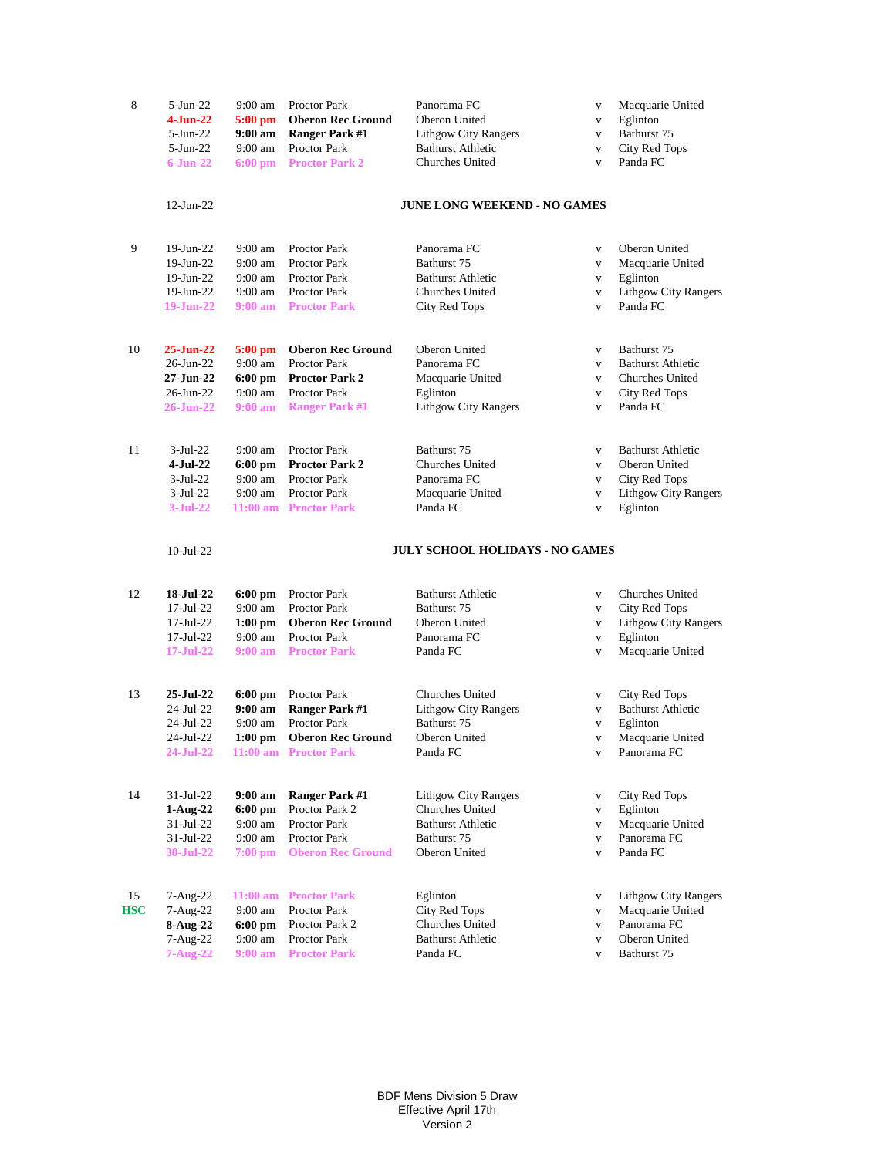| 8                | $5-Jun-22$                                                         | $9:00$ am                                                   | Proctor Park                                                                                                      | Panorama FC                                                                                       | $\mathbf{V}$                                                                 | Macquarie United                                                                                      |
|------------------|--------------------------------------------------------------------|-------------------------------------------------------------|-------------------------------------------------------------------------------------------------------------------|---------------------------------------------------------------------------------------------------|------------------------------------------------------------------------------|-------------------------------------------------------------------------------------------------------|
|                  | $4-J$ un-22                                                        | $5:00$ pm                                                   | <b>Oberon Rec Ground</b>                                                                                          | Oberon United                                                                                     | $\mathbf{V}$                                                                 | Eglinton                                                                                              |
|                  | $5 - Jun-22$                                                       | $9:00$ am                                                   | <b>Ranger Park #1</b>                                                                                             | <b>Lithgow City Rangers</b>                                                                       | V                                                                            | Bathurst 75                                                                                           |
|                  | $5-Jun-22$                                                         | $9:00$ am                                                   | <b>Proctor Park</b>                                                                                               | <b>Bathurst Athletic</b>                                                                          | $\mathbf{V}$                                                                 | City Red Tops                                                                                         |
|                  | $6 - Jun-22$                                                       | $6:00$ pm                                                   | <b>Proctor Park 2</b>                                                                                             | Churches United                                                                                   | $\mathbf{V}$                                                                 | Panda FC                                                                                              |
|                  | $12$ -Jun-22                                                       |                                                             |                                                                                                                   | <b>JUNE LONG WEEKEND - NO GAMES</b>                                                               |                                                                              |                                                                                                       |
| 9                | 19-Jun-22                                                          | $9:00$ am                                                   | Proctor Park                                                                                                      | Panorama FC                                                                                       | $\mathbf{V}$                                                                 | Oberon United                                                                                         |
|                  | 19-Jun-22                                                          | $9:00$ am                                                   | <b>Proctor Park</b>                                                                                               | Bathurst 75                                                                                       | $\mathbf{V}$                                                                 | Macquarie United                                                                                      |
|                  | 19-Jun-22                                                          | $9:00$ am                                                   | Proctor Park                                                                                                      | <b>Bathurst Athletic</b>                                                                          | $\mathbf{V}$                                                                 | Eglinton                                                                                              |
|                  | 19-Jun-22                                                          | $9:00 \text{ am}$                                           | Proctor Park                                                                                                      | Churches United                                                                                   | $\mathbf{V}$                                                                 | <b>Lithgow City Rangers</b>                                                                           |
|                  | $19-Jun-22$                                                        | $9:00 a$ m                                                  | <b>Proctor Park</b>                                                                                               | City Red Tops                                                                                     | $\mathbf{V}$                                                                 | Panda FC                                                                                              |
| 10               | $25 - Jun-22$                                                      | $5:00$ pm                                                   | <b>Oberon Rec Ground</b>                                                                                          | Oberon United                                                                                     | $\mathbf{V}$                                                                 | Bathurst 75                                                                                           |
|                  | $26$ -Jun- $22$                                                    | $9:00$ am                                                   | <b>Proctor Park</b>                                                                                               | Panorama FC                                                                                       | $\mathbf{V}$                                                                 | <b>Bathurst Athletic</b>                                                                              |
|                  | 27-Jun-22                                                          | $6:00$ pm                                                   | <b>Proctor Park 2</b>                                                                                             | Macquarie United                                                                                  | $\mathbf{V}$                                                                 | Churches United                                                                                       |
|                  | 26-Jun-22                                                          | $9:00$ am                                                   | <b>Proctor Park</b>                                                                                               | Eglinton                                                                                          | $\mathbf{V}$                                                                 | City Red Tops                                                                                         |
|                  | $26$ -Jun-22                                                       | $9:00 \text{ am}$                                           | <b>Ranger Park #1</b>                                                                                             | <b>Lithgow City Rangers</b>                                                                       | $\mathbf{V}$                                                                 | Panda FC                                                                                              |
| 11               | $3-Jul-22$<br>$4-Jul-22$<br>$3-Jul-22$<br>$3-Jul-22$<br>$3-Jul-22$ | $9:00$ am<br>$6:00$ pm<br>$9:00$ am<br>$9:00 \text{ am}$    | <b>Proctor Park</b><br><b>Proctor Park 2</b><br>Proctor Park<br><b>Proctor Park</b><br>11:00 am Proctor Park      | Bathurst 75<br>Churches United<br>Panorama FC<br>Macquarie United<br>Panda FC                     | $\mathbf{V}$<br>$\mathbf{V}$<br>$\mathbf{V}$<br>$\mathbf{V}$<br>$\mathbf{V}$ | <b>Bathurst Athletic</b><br>Oberon United<br>City Red Tops<br><b>Lithgow City Rangers</b><br>Eglinton |
|                  | $10$ -Jul-22                                                       |                                                             |                                                                                                                   | <b>JULY SCHOOL HOLIDAYS - NO GAMES</b>                                                            |                                                                              |                                                                                                       |
| 12               | 18-Jul-22                                                          | $6:00$ pm                                                   | Proctor Park                                                                                                      | <b>Bathurst Athletic</b>                                                                          | $\mathbf{V}$                                                                 | Churches United                                                                                       |
|                  | $17$ -Jul-22                                                       | 9:00 am                                                     | <b>Proctor Park</b>                                                                                               | Bathurst 75                                                                                       | $\mathbf{V}$                                                                 | City Red Tops                                                                                         |
|                  | $17$ -Jul-22                                                       | $1:00$ pm                                                   | <b>Oberon Rec Ground</b>                                                                                          | Oberon United                                                                                     | $\mathbf{V}$                                                                 | <b>Lithgow City Rangers</b>                                                                           |
|                  | $17 -$ Jul $-22$                                                   | $9:00$ am                                                   | Proctor Park                                                                                                      | Panorama FC                                                                                       | $\mathbf{V}$                                                                 | Eglinton                                                                                              |
|                  | $17 - \text{Jul} - 22$                                             | $9:00 \text{ am}$                                           | <b>Proctor Park</b>                                                                                               | Panda FC                                                                                          | $\mathbf{V}$                                                                 | Macquarie United                                                                                      |
| 13               | 25-Jul-22<br>24-Jul-22<br>24-Jul-22<br>24-Jul-22<br>24-Jul-22      | $6:00$ pm<br>9:00 am<br>$9:00$ am<br>$1:00$ pm              | Proctor Park<br><b>Ranger Park #1</b><br><b>Proctor Park</b><br><b>Oberon Rec Ground</b><br>11:00 am Proctor Park | <b>Churches United</b><br><b>Lithgow City Rangers</b><br>Bathurst 75<br>Oberon United<br>Panda FC | $\mathbf{V}$<br>$\mathbf{V}$<br>$\mathbf{V}$<br>$\mathbf{V}$<br>V            | City Red Tops<br><b>Bathurst Athletic</b><br>Eglinton<br>Macquarie United<br>Panorama FC              |
| 14               | $31-Jul-22$                                                        | 9:00 am                                                     | <b>Ranger Park #1</b>                                                                                             | <b>Lithgow City Rangers</b>                                                                       | $\mathbf{V}$                                                                 | City Red Tops                                                                                         |
|                  | $1-Aug-22$                                                         | $6:00$ pm                                                   | Proctor Park 2                                                                                                    | Churches United                                                                                   | $\mathbf{V}$                                                                 | Eglinton                                                                                              |
|                  | $31 - Jul - 22$                                                    | $9:00$ am                                                   | Proctor Park                                                                                                      | <b>Bathurst Athletic</b>                                                                          | $\mathbf{V}$                                                                 | Macquarie United                                                                                      |
|                  | $31-Jul-22$                                                        | 9:00 am                                                     | Proctor Park                                                                                                      | Bathurst 75                                                                                       | $\mathbf{V}$                                                                 | Panorama FC                                                                                           |
|                  | 30-Jul-22                                                          | $7:00$ pm                                                   | <b>Oberon Rec Ground</b>                                                                                          | Oberon United                                                                                     | $\mathbf{V}$                                                                 | Panda FC                                                                                              |
| 15<br><b>HSC</b> | $7-Aug-22$<br>7-Aug-22<br>8-Aug-22<br>7-Aug-22<br>$7 - Aug-22$     | $11:00$ am<br>$9:00$ am<br>6:00 pm<br>$9:00$ am<br>9:00 a m | <b>Proctor Park</b><br>Proctor Park<br>Proctor Park 2<br>Proctor Park<br><b>Proctor Park</b>                      | Eglinton<br><b>City Red Tops</b><br>Churches United<br><b>Bathurst Athletic</b><br>Panda FC       | $\mathbf{V}$<br>$\mathbf{V}$<br>$\mathbf{V}$<br>$\mathbf{V}$<br>$\mathbf{V}$ | <b>Lithgow City Rangers</b><br>Macquarie United<br>Panorama FC<br>Oberon United<br>Bathurst 75        |

BDF Mens Division 5 Draw Effective April 17th Version 2